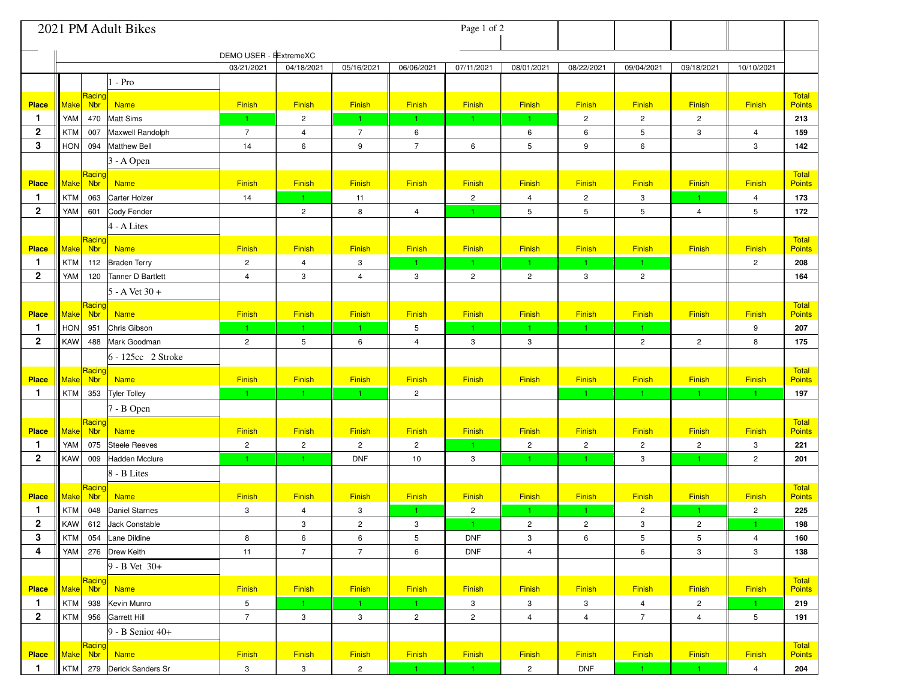|                              | Page 1 of 2<br>2021 PM Adult Bikes |                      |                               |                 |                |                |                |                               |                         |                        |                |                |                                 |                        |
|------------------------------|------------------------------------|----------------------|-------------------------------|-----------------|----------------|----------------|----------------|-------------------------------|-------------------------|------------------------|----------------|----------------|---------------------------------|------------------------|
|                              | DEMO USER - ExtremeXC              |                      |                               |                 |                |                |                |                               |                         |                        |                |                |                                 |                        |
|                              |                                    |                      |                               | 03/21/2021      | 04/18/2021     | 05/16/2021     | 06/06/2021     | 07/11/2021                    | 08/01/2021              | 08/22/2021             | 09/04/2021     | 09/18/2021     | 10/10/2021                      |                        |
|                              |                                    |                      | - Pro                         |                 |                |                |                |                               |                         |                        |                |                |                                 |                        |
| <b>Place</b>                 | Make Nbr                           | Racing               | <b>Name</b>                   | Finish          | Finish         | <b>Finish</b>  | Finish         | <b>Finish</b>                 | <b>Finish</b>           | Finish                 | Finish         | Finish         | Finish                          | Total<br>Points        |
| 1                            | YAM                                | 470                  | <b>Matt Sims</b>              | $\mathbf{1}$    | $\overline{c}$ | $\mathbf{1}$   |                | $\mathbf{1}$                  | $\blacktriangleleft$    | $\mathbf{2}$           | $\overline{c}$ | $\overline{a}$ |                                 | 213                    |
| $\mathbf{2}$                 | <b>KTM</b>                         | 007                  | Maxwell Randolph              | $\overline{7}$  | 4              | $\overline{7}$ | $\,6\,$        |                               | $\,6\,$                 | 6                      | 5              | 3              | $\overline{4}$                  | 159                    |
| 3                            | HON                                | 094                  | <b>Matthew Bell</b>           | 14              | 6              | 9              | $\overline{7}$ | 6                             | $5\phantom{.0}$         | 9                      | 6              |                | 3                               | 142                    |
|                              |                                    |                      | 3 - A Open                    |                 |                |                |                |                               |                         |                        |                |                |                                 |                        |
|                              | Make                               | Racing               | <b>Name</b>                   | Finish          | Finish         |                |                |                               | Finish                  |                        |                | Finish         |                                 | Total                  |
| <b>Place</b><br>$\mathbf{1}$ | <b>KTM</b>                         | <b>Nbr</b><br>063    | Carter Holzer                 | 14              | $-1$           | Finish<br>11   | Finish         | <b>Finish</b><br>$\mathbf{2}$ | $\overline{4}$          | Finish<br>$\mathbf{2}$ | Finish<br>3    | 1 <sub>1</sub> | <b>Finish</b><br>$\overline{4}$ | <b>Points</b><br>173   |
| $\mathbf{2}$                 | <b>YAM</b>                         | 601                  | Cody Fender                   |                 | $\overline{c}$ | 8              | $\overline{4}$ | $\mathbf{1}$                  | 5                       | 5                      | 5              | 4              | 5                               | 172                    |
|                              |                                    |                      | 4 - A Lites                   |                 |                |                |                |                               |                         |                        |                |                |                                 |                        |
|                              |                                    | Racing               |                               |                 |                |                |                |                               |                         |                        |                |                |                                 | Total                  |
| <b>Place</b>                 | Make                               | <b>Nbr</b>           | <b>Name</b>                   | Finish          | Finish         | <b>Finish</b>  | Finish         | Finish                        | Finish                  | Finish                 | Finish         | Finish         | <b>Finish</b>                   | <b>Points</b>          |
| $\mathbf{1}$                 | KTM                                | 112                  | <b>Braden Terry</b>           | $\overline{c}$  | 4              | 3              | 1 <sub>1</sub> | $\mathbf{1}$                  | $\vert$ 1               | $\mathbf{1}$           | $\mathbf{1}$   |                | $\overline{c}$                  | 208                    |
| $\mathbf{2}$                 | YAM                                | 120                  | Tanner D Bartlett             | $\overline{4}$  | 3              | $\overline{4}$ | 3              | $\overline{c}$                | $\overline{c}$          | 3                      | $\overline{2}$ |                |                                 | 164                    |
|                              |                                    | Racing               | $5 - A$ Vet $30 +$            |                 |                |                |                |                               |                         |                        |                |                |                                 | Total                  |
| <b>Place</b>                 | Make Nbr                           |                      | <b>Name</b>                   | Finish          | Finish         | Finish         | Finish         | Finish                        | Finish                  | Finish                 | Finish         | Finish         | <b>Finish</b>                   | <b>Points</b>          |
| 1                            | <b>HON</b>                         | 951                  | Chris Gibson                  | $\mathbf{1}$    | $\mathbf{1}$   | $\mathbf{1}$   | $\mathbf 5$    | $\mathbf{1}$                  | 1.                      | $\vert$ 1              | $\mathbf{1}$   |                | 9                               | 207                    |
| $\mathbf{2}$                 | KAW                                | 488                  | Mark Goodman                  | $\overline{2}$  | 5              | 6              | $\overline{4}$ | 3                             | 3                       |                        | $\overline{2}$ | $\overline{c}$ | 8                               | 175                    |
|                              |                                    |                      | 6 - 125cc 2 Stroke            |                 |                |                |                |                               |                         |                        |                |                |                                 |                        |
| <b>Place</b>                 | <u>  Make </u>                     | Racing<br><b>Nbr</b> | <b>Name</b>                   | Finish          | Finish         | <b>Finish</b>  | Finish         | Finish                        | Finish                  | Finish                 | Finish         | Finish         | Finish                          | Total<br><b>Points</b> |
| 1                            | KTM                                | 353                  | <b>Tyler Tolley</b>           | $\mathbf{1}$    | $-1$           | $\mathbf{1}$   | $\overline{2}$ |                               |                         | $\vert$ 1              | 1 <sub>1</sub> | $\vert$ 1      | $\vert$ 1                       | 197                    |
|                              |                                    |                      | 7 - B Open                    |                 |                |                |                |                               |                         |                        |                |                |                                 |                        |
|                              |                                    | Racing               |                               |                 |                |                |                |                               |                         |                        |                |                |                                 | Total                  |
| <b>Place</b>                 | Make                               | Nbr                  | <b>Name</b>                   | Finish          | Finish         | Finish         | Finish         | Finish                        | Finish                  | Finish                 | Finish         | Finish         | Finish                          | <b>Points</b>          |
| 1<br>$\mathbf{2}$            | YAM                                | 075                  | <b>Steele Reeves</b>          | $\mathbf{2}$    | $\overline{c}$ | $\overline{2}$ | $\overline{2}$ | $\mathbf{1}$                  | $\overline{\mathbf{c}}$ | $\overline{c}$         | $\overline{c}$ | $\overline{a}$ | 3                               | 221                    |
|                              | KAW                                | 009                  | Hadden Mcclure<br>8 - B Lites | $\mathbf{1}$    | $\mathbf{1}$   | <b>DNF</b>     | 10             | 3                             | $\mathbf{1}$            | $\mathbf{1}$           | 3              | $\mathbf{1}$   | $\mathbf{2}$                    | 201                    |
|                              |                                    | Racing               |                               |                 |                |                |                |                               |                         |                        |                |                |                                 | Total                  |
| <b>Place</b>                 | Make Nbr                           |                      | <b>Name</b>                   | Finish          | Finish         | <b>Finish</b>  | Finish         | Finish                        | Finish                  | Finish                 | Finish         | Finish         | <b>Finish</b>                   | <b>Points</b>          |
| 1                            | KTM                                | 048                  | <b>Daniel Starnes</b>         | 3               | 4              | 3              | 1 <sup>1</sup> | $\mathbf{2}$                  | $\mathbf{1}$            | $\mathbf{1}$           | $\overline{c}$ | $\mathbf{1}$   | $\overline{c}$                  | 225                    |
| $\overline{2}$               | KAW                                |                      | 612 Jack Constable            |                 | 3              | $\overline{2}$ | 3              | $\mathbf{1}$                  | $\sqrt{2}$              | $\mathbf{2}$           | 3              | $\overline{c}$ | $\overline{1}$                  | 198                    |
| 3<br>4                       | KTM                                | 054                  | Lane Dildine                  | 8               | 6              | 6              | 5              | <b>DNF</b>                    | 3                       | 6                      | 5              | 5              | 4                               | 160                    |
|                              | YAM                                |                      | 276 Drew Keith                | 11              | $\overline{7}$ | $7^{\circ}$    | 6              | <b>DNF</b>                    | $\overline{4}$          |                        | 6              | 3              | 3                               | 138                    |
|                              |                                    | Racing               | $9 - B$ Vet $30 +$            |                 |                |                |                |                               |                         |                        |                |                |                                 | Total                  |
| <b>Place</b>                 | Make Nbr                           |                      | <b>Name</b>                   | <b>Finish</b>   | <b>Finish</b>  | <b>Finish</b>  | Finish         | <b>Finish</b>                 | <b>Finish</b>           | Finish                 | Finish         | Finish         | <b>Finish</b>                   | <b>Points</b>          |
| $\mathbf{1}$                 | <b>KTM</b>                         | 938                  | Kevin Munro                   | $5\phantom{.0}$ | $\mathbf{1}$   | $\mathbf{1}$   | $1 -$          | 3                             | 3                       | $\mathbf{3}$           | $\overline{4}$ | $\overline{a}$ | -1.                             | 219                    |
| $\overline{2}$               | KTM                                |                      | 956 Garrett Hill              | $\overline{7}$  | 3              | 3              | $\overline{2}$ | $\overline{2}$                | $\overline{4}$          | $\overline{4}$         | $\overline{7}$ | $\overline{4}$ | 5                               | 191                    |
|                              |                                    |                      | 9 - B Senior 40+              |                 |                |                |                |                               |                         |                        |                |                |                                 |                        |
| <b>Place</b>                 | Make Nbr                           | Racing               | <b>Name</b>                   | Finish          | Finish         | <b>Finish</b>  | Finish         | Finish                        | <b>Finish</b>           | Finish                 | Finish         | Finish         | <b>Finish</b>                   | Total<br><b>Points</b> |
| 1                            |                                    |                      | KTM 279 Derick Sanders Sr     | $\mathbf{3}$    | 3              | $\overline{2}$ | $1 -$          | $\mathbf{1}$                  | $\overline{2}$          | <b>DNF</b>             | $\mathbf{1}$   | 1 <sub>1</sub> | $\overline{4}$                  | 204                    |